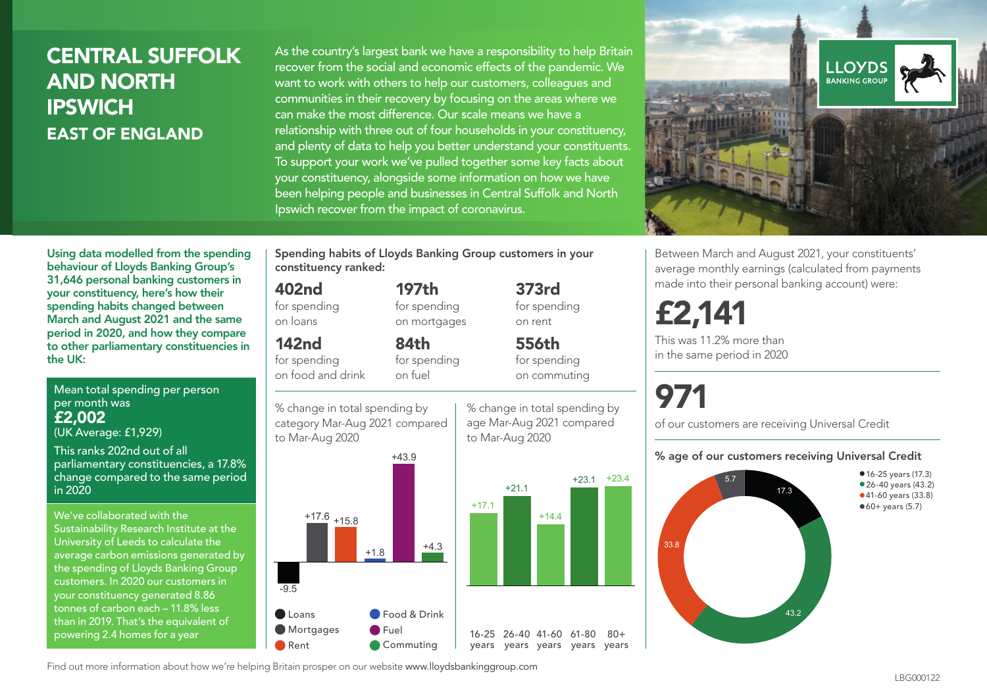# CENTRAL SUFFOLK AND NORTH **IPSWICH** EAST OF ENGLAND

As the country's largest bank we have a responsibility to help Britain recover from the social and economic effects of the pandemic. We want to work with others to help our customers, colleagues and communities in their recovery by focusing on the areas where we can make the most difference. Our scale means we have a relationship with three out of four households in your constituency, and plenty of data to help you better understand your constituents. To support your work we've pulled together some key facts about your constituency, alongside some information on how we have been helping people and businesses in Central Suffolk and North Ipswich recover from the impact of coronavirus.



Mean total spending per person per month was £2,002 (UK Average: £1,929)

This ranks 202nd out of all

parliamentary constituencies, a 17.8% change compared to the same period in 2020

We've collaborated with the Sustainability Research Institute at the University of Leeds to calculate the average carbon emissions generated by the spending of Lloyds Banking Group customers. In 2020 our customers in your constituency generated 8.86 tonnes of carbon each – 11.8% less than in 2019. That's the equivalent of powering 2.4 homes for a year

Spending habits of Lloyds Banking Group customers in your constituency ranked:

> 197th for spending on mortgages

84th for spending

#### 402nd

for spending on loans

### 142nd

for spending on food and drink







373rd for spending on rent

556th for spending

age Mar-Aug 2021 compared

to Mar-Aug 2020

 $+14.4$ 

on commuting

+23.1 +23.4

 $80 +$ 

% change in total spending by 97

of our customers are receiving Universal Credit

#### % age of our customers receiving Universal Credit



Find out more information about how we're helping Britain prosper on our website www.lloydsbankinggroup.com



Between March and August 2021, your constituents' average monthly earnings (calculated from payments made into their personal banking account) were:

# £2,141

This was 11.2% more than in the same period in 2020